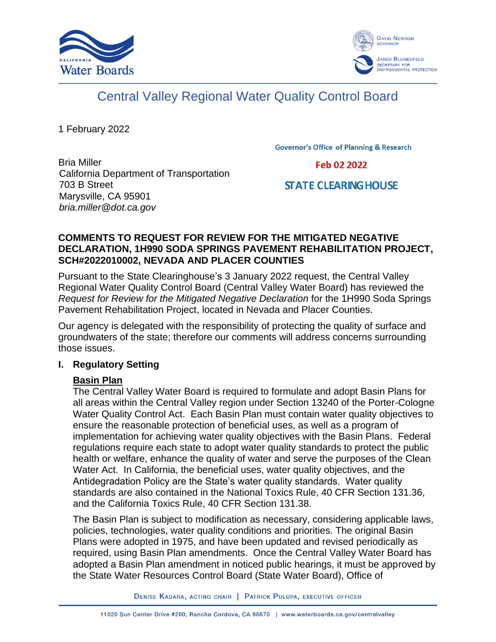



# Central Valley Regional Water Quality Control Board

1 February 2022

**Governor's Office of Planning & Research** 

Bria Miller California Department of Transportation 703 B Street Marysville, CA 95901 *bria.miller@dot.ca.gov*

Feb 02 2022

# **STATE CLEARING HOUSE**

### **COMMENTS TO REQUEST FOR REVIEW FOR THE MITIGATED NEGATIVE DECLARATION, 1H990 SODA SPRINGS PAVEMENT REHABILITATION PROJECT, SCH#2022010002, NEVADA AND PLACER COUNTIES**

Pursuant to the State Clearinghouse's 3 January 2022 request, the Central Valley Regional Water Quality Control Board (Central Valley Water Board) has reviewed the *Request for Review for the Mitigated Negative Declaration* for the 1H990 Soda Springs Pavement Rehabilitation Project, located in Nevada and Placer Counties.

Our agency is delegated with the responsibility of protecting the quality of surface and groundwaters of the state; therefore our comments will address concerns surrounding those issues.

# **I. Regulatory Setting**

# **Basin Plan**

The Central Valley Water Board is required to formulate and adopt Basin Plans for all areas within the Central Valley region under Section 13240 of the Porter-Cologne Water Quality Control Act. Each Basin Plan must contain water quality objectives to ensure the reasonable protection of beneficial uses, as well as a program of implementation for achieving water quality objectives with the Basin Plans. Federal regulations require each state to adopt water quality standards to protect the public health or welfare, enhance the quality of water and serve the purposes of the Clean Water Act. In California, the beneficial uses, water quality objectives, and the Antidegradation Policy are the State's water quality standards. Water quality standards are also contained in the National Toxics Rule, 40 CFR Section 131.36, and the California Toxics Rule, 40 CFR Section 131.38.

The Basin Plan is subject to modification as necessary, considering applicable laws, policies, technologies, water quality conditions and priorities. The original Basin Plans were adopted in 1975, and have been updated and revised periodically as required, using Basin Plan amendments. Once the Central Valley Water Board has adopted a Basin Plan amendment in noticed public hearings, it must be approved by the State Water Resources Control Board (State Water Board), Office of

DENISE KADARA, ACTING CHAIR | PATRICK PULUPA, EXECUTIVE OFFICER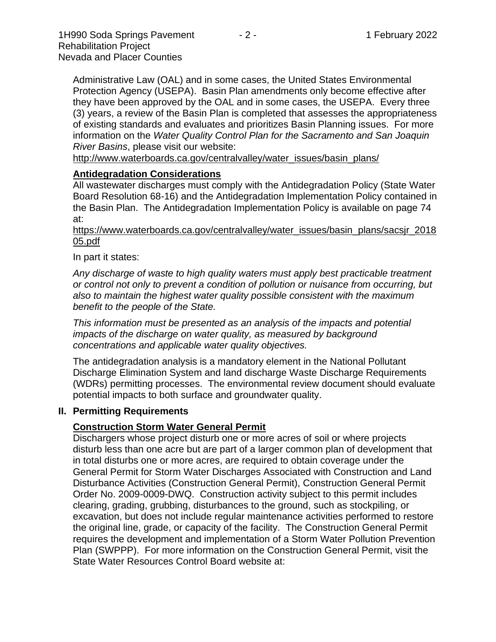Administrative Law (OAL) and in some cases, the United States Environmental Protection Agency (USEPA). Basin Plan amendments only become effective after they have been approved by the OAL and in some cases, the USEPA. Every three (3) years, a review of the Basin Plan is completed that assesses the appropriateness of existing standards and evaluates and prioritizes Basin Planning issues. For more information on the *Water Quality Control Plan for the Sacramento and San Joaquin River Basins*, please visit our website:

[http://www.waterboards.ca.gov/centralvalley/water\\_issues/basin\\_plans/](http://www.waterboards.ca.gov/centralvalley/water_issues/basin_plans/)

#### **Antidegradation Considerations**

All wastewater discharges must comply with the Antidegradation Policy (State Water Board Resolution 68-16) and the Antidegradation Implementation Policy contained in the Basin Plan. The Antidegradation Implementation Policy is available on page 74 at:

#### https://www.waterboards.ca.gov/centralvalley/water\_issues/basin\_plans/sacsjr\_2018 05.pdf

#### In part it states:

*Any discharge of waste to high quality waters must apply best practicable treatment or control not only to prevent a condition of pollution or nuisance from occurring, but also to maintain the highest water quality possible consistent with the maximum benefit to the people of the State.*

*This information must be presented as an analysis of the impacts and potential impacts of the discharge on water quality, as measured by background concentrations and applicable water quality objectives.*

The antidegradation analysis is a mandatory element in the National Pollutant Discharge Elimination System and land discharge Waste Discharge Requirements (WDRs) permitting processes. The environmental review document should evaluate potential impacts to both surface and groundwater quality.

#### **II. Permitting Requirements**

#### **Construction Storm Water General Permit**

Dischargers whose project disturb one or more acres of soil or where projects disturb less than one acre but are part of a larger common plan of development that in total disturbs one or more acres, are required to obtain coverage under the General Permit for Storm Water Discharges Associated with Construction and Land Disturbance Activities (Construction General Permit), Construction General Permit Order No. 2009-0009-DWQ. Construction activity subject to this permit includes clearing, grading, grubbing, disturbances to the ground, such as stockpiling, or excavation, but does not include regular maintenance activities performed to restore the original line, grade, or capacity of the facility. The Construction General Permit requires the development and implementation of a Storm Water Pollution Prevention Plan (SWPPP). For more information on the Construction General Permit, visit the State Water Resources Control Board website at: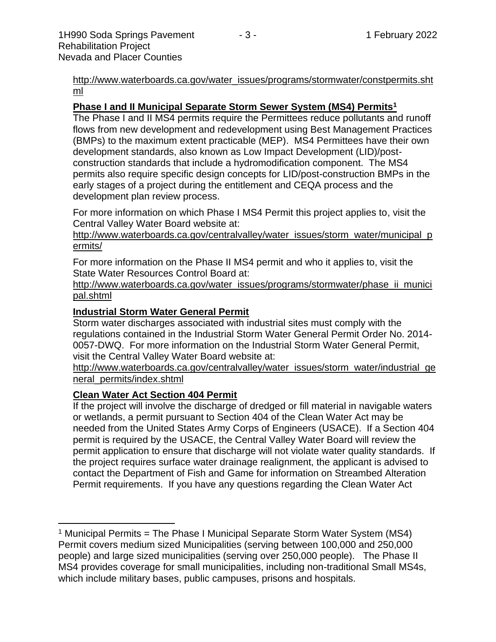[http://www.waterboards.ca.gov/water\\_issues/programs/stormwater/constpermits.sht](http://www.waterboards.ca.gov/water_issues/programs/stormwater/constpermits.shtml) [ml](http://www.waterboards.ca.gov/water_issues/programs/stormwater/constpermits.shtml)

#### **Phase I and II Municipal Separate Storm Sewer System (MS4) Permits<sup>1</sup>**

The Phase I and II MS4 permits require the Permittees reduce pollutants and runoff flows from new development and redevelopment using Best Management Practices (BMPs) to the maximum extent practicable (MEP). MS4 Permittees have their own development standards, also known as Low Impact Development (LID)/postconstruction standards that include a hydromodification component. The MS4 permits also require specific design concepts for LID/post-construction BMPs in the early stages of a project during the entitlement and CEQA process and the development plan review process.

For more information on which Phase I MS4 Permit this project applies to, visit the Central Valley Water Board website at:

http://www.waterboards.ca.gov/centralvalley/water\_issues/storm\_water/municipal\_p ermits/

For more information on the Phase II MS4 permit and who it applies to, visit the State Water Resources Control Board at:

http://www.waterboards.ca.gov/water\_issues/programs/stormwater/phase\_ii\_munici pal.shtml

#### **Industrial Storm Water General Permit**

Storm water discharges associated with industrial sites must comply with the regulations contained in the Industrial Storm Water General Permit Order No. 2014- 0057-DWQ. For more information on the Industrial Storm Water General Permit, visit the Central Valley Water Board website at:

http://www.waterboards.ca.gov/centralvalley/water\_issues/storm\_water/industrial\_ge neral\_permits/index.shtml

#### **Clean Water Act Section 404 Permit**

If the project will involve the discharge of dredged or fill material in navigable waters or wetlands, a permit pursuant to Section 404 of the Clean Water Act may be needed from the United States Army Corps of Engineers (USACE). If a Section 404 permit is required by the USACE, the Central Valley Water Board will review the permit application to ensure that discharge will not violate water quality standards. If the project requires surface water drainage realignment, the applicant is advised to contact the Department of Fish and Game for information on Streambed Alteration Permit requirements. If you have any questions regarding the Clean Water Act

<sup>&</sup>lt;sup>1</sup> Municipal Permits = The Phase I Municipal Separate Storm Water System (MS4) Permit covers medium sized Municipalities (serving between 100,000 and 250,000 people) and large sized municipalities (serving over 250,000 people). The Phase II MS4 provides coverage for small municipalities, including non-traditional Small MS4s, which include military bases, public campuses, prisons and hospitals.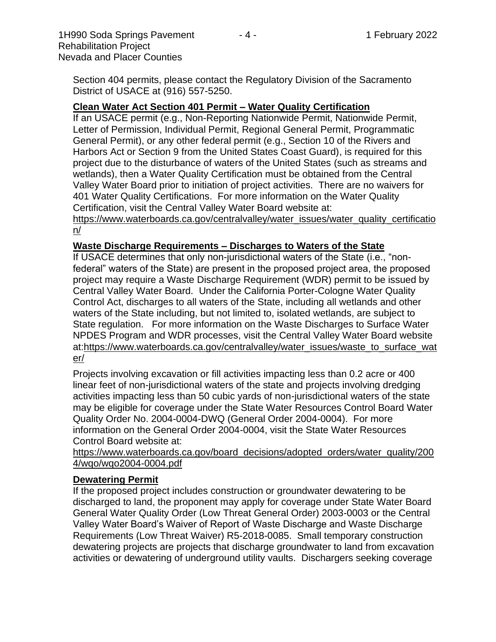1H990 Soda Springs Pavement - 4 - 1 February 2022 Rehabilitation Project Nevada and Placer Counties

Section 404 permits, please contact the Regulatory Division of the Sacramento District of USACE at (916) 557-5250.

# **Clean Water Act Section 401 Permit – Water Quality Certification**

If an USACE permit (e.g., Non-Reporting Nationwide Permit, Nationwide Permit, Letter of Permission, Individual Permit, Regional General Permit, Programmatic General Permit), or any other federal permit (e.g., Section 10 of the Rivers and Harbors Act or Section 9 from the United States Coast Guard), is required for this project due to the disturbance of waters of the United States (such as streams and wetlands), then a Water Quality Certification must be obtained from the Central Valley Water Board prior to initiation of project activities. There are no waivers for 401 Water Quality Certifications. For more information on the Water Quality Certification, visit the Central Valley Water Board website at:

https://www.waterboards.ca.gov/centralvalley/water\_issues/water\_quality\_certificatio n/

# **Waste Discharge Requirements – Discharges to Waters of the State**

If USACE determines that only non-jurisdictional waters of the State (i.e., "nonfederal" waters of the State) are present in the proposed project area, the proposed project may require a Waste Discharge Requirement (WDR) permit to be issued by Central Valley Water Board. Under the California Porter-Cologne Water Quality Control Act, discharges to all waters of the State, including all wetlands and other waters of the State including, but not limited to, isolated wetlands, are subject to State regulation. For more information on the Waste Discharges to Surface Water NPDES Program and WDR processes, visit the Central Valley Water Board website at:https://www.waterboards.ca.gov/centralvalley/water\_issues/waste\_to\_surface\_wat er/

Projects involving excavation or fill activities impacting less than 0.2 acre or 400 linear feet of non-jurisdictional waters of the state and projects involving dredging activities impacting less than 50 cubic yards of non-jurisdictional waters of the state may be eligible for coverage under the State Water Resources Control Board Water Quality Order No. 2004-0004-DWQ (General Order 2004-0004). For more information on the General Order 2004-0004, visit the State Water Resources Control Board website at:

https://www.waterboards.ca.gov/board\_decisions/adopted\_orders/water\_quality/200 4/wqo/wqo2004-0004.pdf

# **Dewatering Permit**

If the proposed project includes construction or groundwater dewatering to be discharged to land, the proponent may apply for coverage under State Water Board General Water Quality Order (Low Threat General Order) 2003-0003 or the Central Valley Water Board's Waiver of Report of Waste Discharge and Waste Discharge Requirements (Low Threat Waiver) R5-2018-0085. Small temporary construction dewatering projects are projects that discharge groundwater to land from excavation activities or dewatering of underground utility vaults. Dischargers seeking coverage